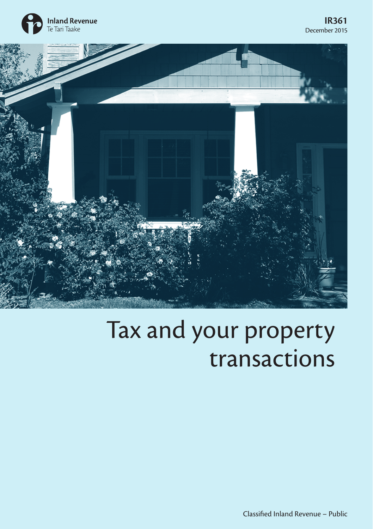



## Tax and your property transactions

Classified Inland Revenue – Public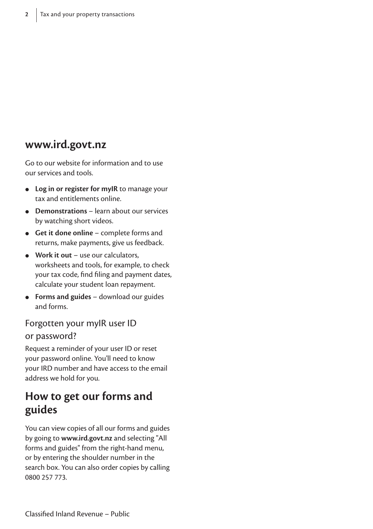### **www.ird.govt.nz**

Go to our website for information and to use our services and tools.

- **Log in or register for myIR** to manage your tax and entitlements online.
- **Demonstrations** learn about our services by watching short videos.
- **Get it done online** complete forms and returns, make payments, give us feedback.
- **Work it out** use our calculators, worksheets and tools, for example, to check your tax code, find filing and payment dates, calculate your student loan repayment.
- **Forms and guides** download our guides and forms.

## Forgotten your myIR user ID

#### or password?

Request a reminder of your user ID or reset your password online. You'll need to know your IRD number and have access to the email address we hold for you.

### **How to get our forms and guides**

You can view copies of all our forms and guides by going to **www.ird.govt.nz** and selecting "All forms and guides" from the right-hand menu, or by entering the shoulder number in the search box. You can also order copies by calling 0800 257 773.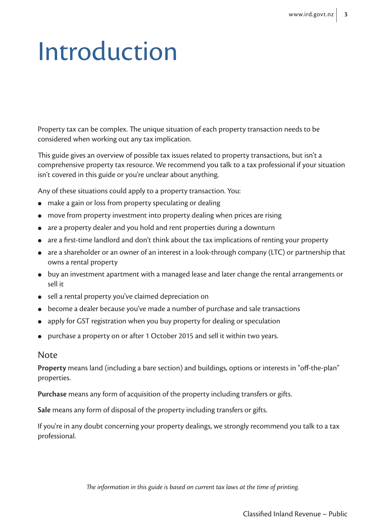# Introduction

Property tax can be complex. The unique situation of each property transaction needs to be considered when working out any tax implication.

This guide gives an overview of possible tax issues related to property transactions, but isn't a comprehensive property tax resource. We recommend you talk to a tax professional if your situation isn't covered in this guide or you're unclear about anything.

Any of these situations could apply to a property transaction. You:

- make a gain or loss from property speculating or dealing
- move from property investment into property dealing when prices are rising
- are a property dealer and you hold and rent properties during a downturn
- are a first-time landlord and don't think about the tax implications of renting your property
- are a shareholder or an owner of an interest in a look-through company (LTC) or partnership that owns a rental property
- buy an investment apartment with a managed lease and later change the rental arrangements or sell it
- sell a rental property you've claimed depreciation on
- become a dealer because you've made a number of purchase and sale transactions
- apply for GST registration when you buy property for dealing or speculation
- purchase a property on or after 1 October 2015 and sell it within two years.

#### Note

**Property** means land (including a bare section) and buildings, options or interests in "off-the-plan" properties.

**Purchase** means any form of acquisition of the property including transfers or gifts.

**Sale** means any form of disposal of the property including transfers or gifts.

If you're in any doubt concerning your property dealings, we strongly recommend you talk to a tax professional.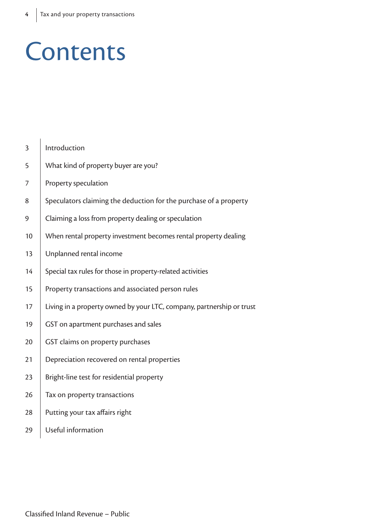## **Contents**

| 3  | Introduction                                                          |
|----|-----------------------------------------------------------------------|
| 5  | What kind of property buyer are you?                                  |
| 7  | Property speculation                                                  |
| 8  | Speculators claiming the deduction for the purchase of a property     |
| 9  | Claiming a loss from property dealing or speculation                  |
| 10 | When rental property investment becomes rental property dealing       |
| 13 | Unplanned rental income                                               |
| 14 | Special tax rules for those in property-related activities            |
| 15 | Property transactions and associated person rules                     |
| 17 | Living in a property owned by your LTC, company, partnership or trust |
| 19 | GST on apartment purchases and sales                                  |
| 20 | GST claims on property purchases                                      |
| 21 | Depreciation recovered on rental properties                           |
| 23 | Bright-line test for residential property                             |
| 26 | Tax on property transactions                                          |
| 28 | Putting your tax affairs right                                        |
| 29 | Useful information                                                    |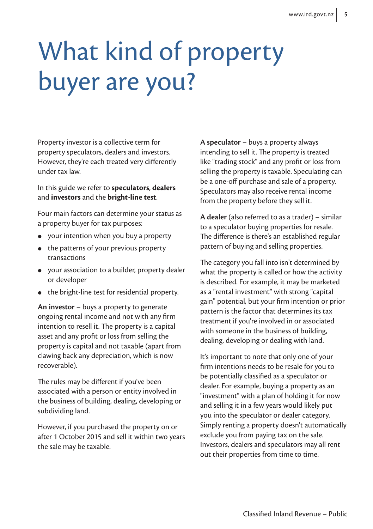# What kind of property buyer are you?

Property investor is a collective term for property speculators, dealers and investors. However, they're each treated very differently under tax law.

In this guide we refer to **speculators**, **dealers**  and **investors** and the **bright-line test**.

Four main factors can determine your status as a property buyer for tax purposes:

- your intention when you buy a property
- the patterns of your previous property transactions
- your association to a builder, property dealer or developer
- the bright-line test for residential property.

**An investor** – buys a property to generate ongoing rental income and not with any firm intention to resell it. The property is a capital asset and any profit or loss from selling the property is capital and not taxable (apart from clawing back any depreciation, which is now recoverable).

The rules may be different if you've been associated with a person or entity involved in the business of building, dealing, developing or subdividing land.

However, if you purchased the property on or after 1 October 2015 and sell it within two years the sale may be taxable.

**A speculator** – buys a property always intending to sell it. The property is treated like "trading stock" and any profit or loss from selling the property is taxable. Speculating can be a one-off purchase and sale of a property. Speculators may also receive rental income from the property before they sell it.

**A dealer** (also referred to as a trader) – similar to a speculator buying properties for resale. The difference is there's an established regular pattern of buying and selling properties.

The category you fall into isn't determined by what the property is called or how the activity is described. For example, it may be marketed as a "rental investment" with strong "capital gain" potential, but your firm intention or prior pattern is the factor that determines its tax treatment if you're involved in or associated with someone in the business of building, dealing, developing or dealing with land.

It's important to note that only one of your firm intentions needs to be resale for you to be potentially classified as a speculator or dealer. For example, buying a property as an "investment" with a plan of holding it for now and selling it in a few years would likely put you into the speculator or dealer category. Simply renting a property doesn't automatically exclude you from paying tax on the sale. Investors, dealers and speculators may all rent out their properties from time to time.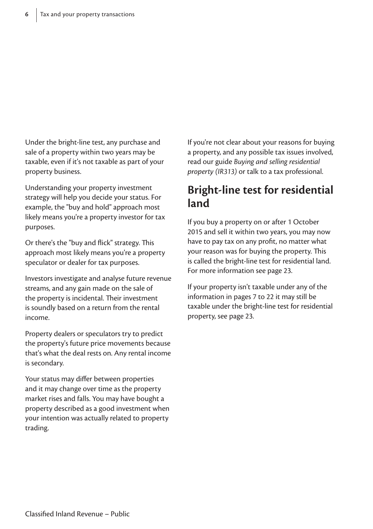Under the bright-line test, any purchase and sale of a property within two years may be taxable, even if it's not taxable as part of your property business.

Understanding your property investment strategy will help you decide your status. For example, the "buy and hold" approach most likely means you're a property investor for tax purposes.

Or there's the "buy and flick" strategy. This approach most likely means you're a property speculator or dealer for tax purposes.

Investors investigate and analyse future revenue streams, and any gain made on the sale of the property is incidental. Their investment is soundly based on a return from the rental income.

Property dealers or speculators try to predict the property's future price movements because that's what the deal rests on. Any rental income is secondary.

Your status may differ between properties and it may change over time as the property market rises and falls. You may have bought a property described as a good investment when your intention was actually related to property trading.

If you're not clear about your reasons for buying a property, and any possible tax issues involved, read our guide *Buying and selling residential property (IR313)* or talk to a tax professional.

### **Bright-line test for residential land**

If you buy a property on or after 1 October 2015 and sell it within two years, you may now have to pay tax on any profit, no matter what your reason was for buying the property. This is called the bright-line test for residential land. For more information see page 23.

If your property isn't taxable under any of the information in pages 7 to 22 it may still be taxable under the bright-line test for residential property, see page 23.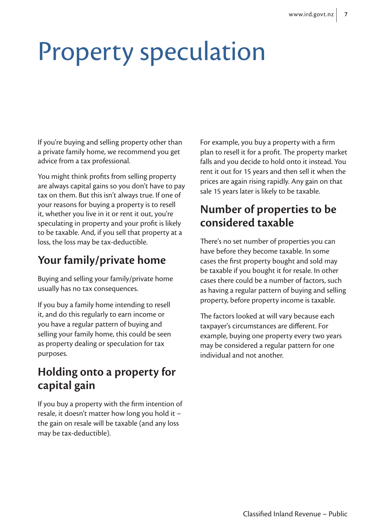## Property speculation

If you're buying and selling property other than a private family home, we recommend you get advice from a tax professional.

You might think profits from selling property are always capital gains so you don't have to pay tax on them. But this isn't always true. If one of your reasons for buying a property is to resell it, whether you live in it or rent it out, you're speculating in property and your profit is likely to be taxable. And, if you sell that property at a loss, the loss may be tax-deductible.

## **Your family/private home**

Buying and selling your family/private home usually has no tax consequences.

If you buy a family home intending to resell it, and do this regularly to earn income or you have a regular pattern of buying and selling your family home, this could be seen as property dealing or speculation for tax purposes.

## **Holding onto a property for capital gain**

If you buy a property with the firm intention of resale, it doesn't matter how long you hold it – the gain on resale will be taxable (and any loss may be tax-deductible).

For example, you buy a property with a firm plan to resell it for a profit. The property market falls and you decide to hold onto it instead. You rent it out for 15 years and then sell it when the prices are again rising rapidly. Any gain on that sale 15 years later is likely to be taxable.

## **Number of properties to be considered taxable**

There's no set number of properties you can have before they become taxable. In some cases the first property bought and sold may be taxable if you bought it for resale. In other cases there could be a number of factors, such as having a regular pattern of buying and selling property, before property income is taxable.

The factors looked at will vary because each taxpayer's circumstances are different. For example, buying one property every two years may be considered a regular pattern for one individual and not another.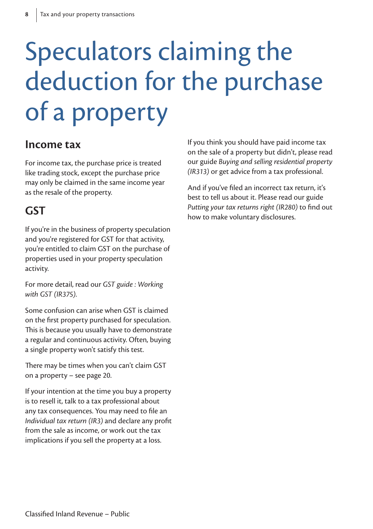# Speculators claiming the deduction for the purchase of a property

### **Income tax**

For income tax, the purchase price is treated like trading stock, except the purchase price may only be claimed in the same income year as the resale of the property.

## **GST**

If you're in the business of property speculation and you're registered for GST for that activity, you're entitled to claim GST on the purchase of properties used in your property speculation activity.

For more detail, read our *GST guide : Working with GST (IR375)*.

Some confusion can arise when GST is claimed on the first property purchased for speculation. This is because you usually have to demonstrate a regular and continuous activity. Often, buying a single property won't satisfy this test.

There may be times when you can't claim GST on a property – see page 20.

If your intention at the time you buy a property is to resell it, talk to a tax professional about any tax consequences. You may need to file an *Individual tax return (IR3)* and declare any profit from the sale as income, or work out the tax implications if you sell the property at a loss.

If you think you should have paid income tax on the sale of a property but didn't, please read our guide *Buying and selling residential property (IR313)* or get advice from a tax professional.

And if you've filed an incorrect tax return, it's best to tell us about it. Please read our guide *Putting your tax returns right (IR280)* to find out how to make voluntary disclosures.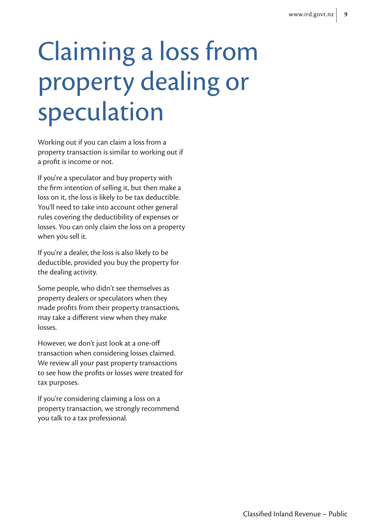# Claiming a loss from property dealing or speculation

Working out if you can claim a loss from a property transaction is similar to working out if a profit is income or not.

If you're a speculator and buy property with the firm intention of selling it, but then make a loss on it, the loss is likely to be tax deductible. You'll need to take into account other general rules covering the deductibility of expenses or losses. You can only claim the loss on a property when you sell it.

If you're a dealer, the loss is also likely to be deductible, provided you buy the property for the dealing activity.

Some people, who didn't see themselves as property dealers or speculators when they made profits from their property transactions, may take a different view when they make losses.

However, we don't just look at a one-off transaction when considering losses claimed. We review all your past property transactions to see how the profits or losses were treated for tax purposes.

If you're considering claiming a loss on a property transaction, we strongly recommend you talk to a tax professional.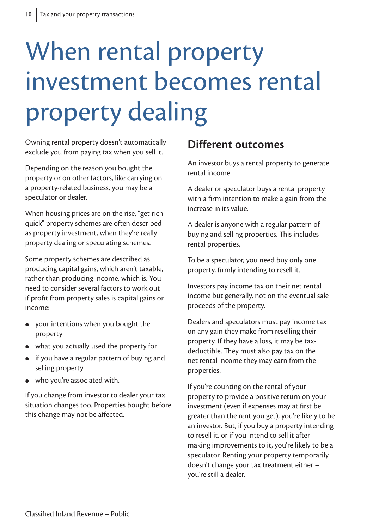# When rental property investment becomes rental property dealing

Owning rental property doesn't automatically exclude you from paying tax when you sell it.

Depending on the reason you bought the property or on other factors, like carrying on a property-related business, you may be a speculator or dealer.

When housing prices are on the rise, "get rich quick" property schemes are often described as property investment, when they're really property dealing or speculating schemes.

Some property schemes are described as producing capital gains, which aren't taxable, rather than producing income, which is. You need to consider several factors to work out if profit from property sales is capital gains or income:

- your intentions when you bought the property
- what you actually used the property for
- if you have a regular pattern of buying and selling property
- who you're associated with.

If you change from investor to dealer your tax situation changes too. Properties bought before this change may not be affected.

### **Different outcomes**

An investor buys a rental property to generate rental income.

A dealer or speculator buys a rental property with a firm intention to make a gain from the increase in its value.

A dealer is anyone with a regular pattern of buying and selling properties. This includes rental properties.

To be a speculator, you need buy only one property, firmly intending to resell it.

Investors pay income tax on their net rental income but generally, not on the eventual sale proceeds of the property.

Dealers and speculators must pay income tax on any gain they make from reselling their property. If they have a loss, it may be taxdeductible. They must also pay tax on the net rental income they may earn from the properties.

If you're counting on the rental of your property to provide a positive return on your investment (even if expenses may at first be greater than the rent you get), you're likely to be an investor. But, if you buy a property intending to resell it, or if you intend to sell it after making improvements to it, you're likely to be a speculator. Renting your property temporarily doesn't change your tax treatment either – you're still a dealer.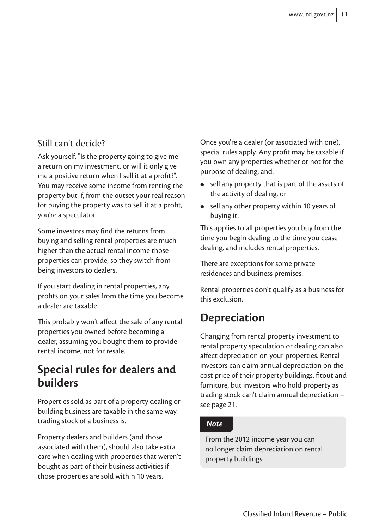### Still can't decide?

Ask yourself, "Is the property going to give me a return on my investment, or will it only give me a positive return when I sell it at a profit?". You may receive some income from renting the property but if, from the outset your real reason for buying the property was to sell it at a profit, you're a speculator.

Some investors may find the returns from buying and selling rental properties are much higher than the actual rental income those properties can provide, so they switch from being investors to dealers.

If you start dealing in rental properties, any profits on your sales from the time you become a dealer are taxable.

This probably won't affect the sale of any rental properties you owned before becoming a dealer, assuming you bought them to provide rental income, not for resale.

### **Special rules for dealers and builders**

Properties sold as part of a property dealing or building business are taxable in the same way trading stock of a business is.

Property dealers and builders (and those associated with them), should also take extra care when dealing with properties that weren't bought as part of their business activities if those properties are sold within 10 years.

Once you're a dealer (or associated with one), special rules apply. Any profit may be taxable if you own any properties whether or not for the purpose of dealing, and:

- sell any property that is part of the assets of the activity of dealing, or
- sell any other property within 10 years of buying it.

This applies to all properties you buy from the time you begin dealing to the time you cease dealing, and includes rental properties.

There are exceptions for some private residences and business premises.

Rental properties don't qualify as a business for this exclusion.

### **Depreciation**

Changing from rental property investment to rental property speculation or dealing can also affect depreciation on your properties. Rental investors can claim annual depreciation on the cost price of their property buildings, fitout and furniture, but investors who hold property as trading stock can't claim annual depreciation – see page 21.

#### *Note*

From the 2012 income year you can no longer claim depreciation on rental property buildings.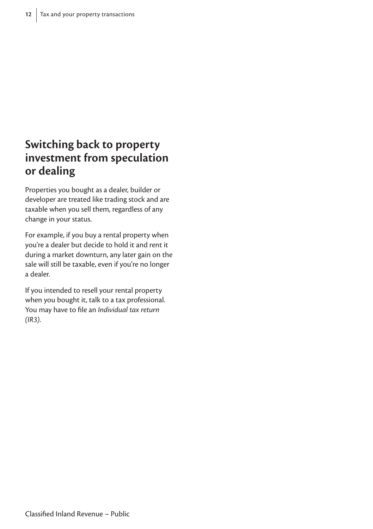## **Switching back to property investment from speculation or dealing**

Properties you bought as a dealer, builder or developer are treated like trading stock and are taxable when you sell them, regardless of any change in your status.

For example, if you buy a rental property when you're a dealer but decide to hold it and rent it during a market downturn, any later gain on the sale will still be taxable, even if you're no longer a dealer.

If you intended to resell your rental property when you bought it, talk to a tax professional. You may have to file an *Individual tax return (IR3)*.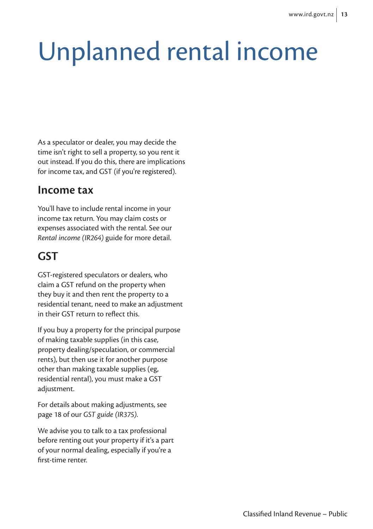# Unplanned rental income

As a speculator or dealer, you may decide the time isn't right to sell a property, so you rent it out instead. If you do this, there are implications for income tax, and GST (if you're registered).

### **Income tax**

You'll have to include rental income in your income tax return. You may claim costs or expenses associated with the rental. See our *Rental income (IR264)* guide for more detail.

## **GST**

GST-registered speculators or dealers, who claim a GST refund on the property when they buy it and then rent the property to a residential tenant, need to make an adjustment in their GST return to reflect this.

If you buy a property for the principal purpose of making taxable supplies (in this case, property dealing/speculation, or commercial rents), but then use it for another purpose other than making taxable supplies (eg, residential rental), you must make a GST adjustment.

For details about making adjustments, see page 18 of our *GST guide (IR375)*.

We advise you to talk to a tax professional before renting out your property if it's a part of your normal dealing, especially if you're a first-time renter.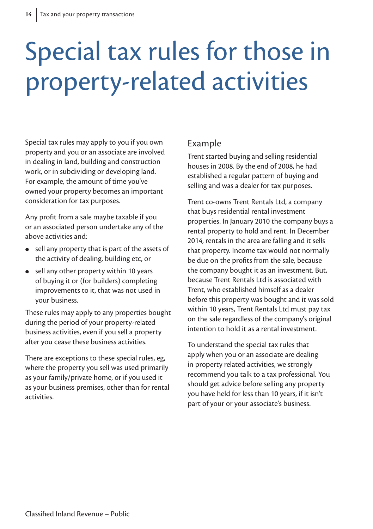# Special tax rules for those in property-related activities

Special tax rules may apply to you if you own property and you or an associate are involved in dealing in land, building and construction work, or in subdividing or developing land. For example, the amount of time you've owned your property becomes an important consideration for tax purposes.

Any profit from a sale maybe taxable if you or an associated person undertake any of the above activities and:

- sell any property that is part of the assets of the activity of dealing, building etc, or
- sell any other property within 10 years of buying it or (for builders) completing improvements to it, that was not used in your business.

These rules may apply to any properties bought during the period of your property-related business activities, even if you sell a property after you cease these business activities.

There are exceptions to these special rules, eg, where the property you sell was used primarily as your family/private home, or if you used it as your business premises, other than for rental activities.

### Example

Trent started buying and selling residential houses in 2008. By the end of 2008, he had established a regular pattern of buying and selling and was a dealer for tax purposes.

Trent co-owns Trent Rentals Ltd, a company that buys residential rental investment properties. In January 2010 the company buys a rental property to hold and rent. In December 2014, rentals in the area are falling and it sells that property. Income tax would not normally be due on the profits from the sale, because the company bought it as an investment. But, because Trent Rentals Ltd is associated with Trent, who established himself as a dealer before this property was bought and it was sold within 10 years, Trent Rentals Ltd must pay tax on the sale regardless of the company's original intention to hold it as a rental investment.

To understand the special tax rules that apply when you or an associate are dealing in property related activities, we strongly recommend you talk to a tax professional. You should get advice before selling any property you have held for less than 10 years, if it isn't part of your or your associate's business.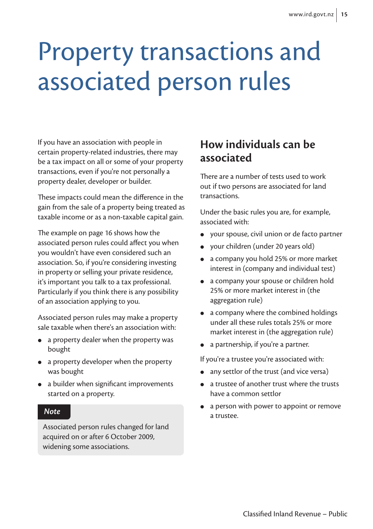## Property transactions and associated person rules

If you have an association with people in certain property-related industries, there may be a tax impact on all or some of your property transactions, even if you're not personally a property dealer, developer or builder.

These impacts could mean the difference in the gain from the sale of a property being treated as taxable income or as a non-taxable capital gain.

The example on page 16 shows how the associated person rules could affect you when you wouldn't have even considered such an association. So, if you're considering investing in property or selling your private residence, it's important you talk to a tax professional. Particularly if you think there is any possibility of an association applying to you.

Associated person rules may make a property sale taxable when there's an association with:

- a property dealer when the property was bought
- a property developer when the property was bought
- a builder when significant improvements started on a property.

#### *Note*

Associated person rules changed for land acquired on or after 6 October 2009, widening some associations.

### **How individuals can be associated**

There are a number of tests used to work out if two persons are associated for land transactions.

Under the basic rules you are, for example, associated with:

- your spouse, civil union or de facto partner
- your children (under 20 years old)
- a company you hold 25% or more market interest in (company and individual test)
- a company your spouse or children hold 25% or more market interest in (the aggregation rule)
- a company where the combined holdings under all these rules totals 25% or more market interest in (the aggregation rule)
- a partnership, if you're a partner.

If you're a trustee you're associated with:

- any settlor of the trust (and vice versa)
- a trustee of another trust where the trusts have a common settlor
- a person with power to appoint or remove a trustee.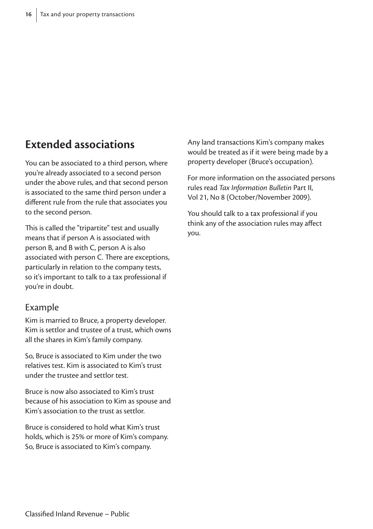## **Extended associations**

You can be associated to a third person, where you're already associated to a second person under the above rules, and that second person is associated to the same third person under a different rule from the rule that associates you to the second person.

This is called the "tripartite" test and usually means that if person A is associated with person B, and B with C, person A is also associated with person C. There are exceptions, particularly in relation to the company tests, so it's important to talk to a tax professional if you're in doubt.

#### Example

Kim is married to Bruce, a property developer. Kim is settlor and trustee of a trust, which owns all the shares in Kim's family company.

So, Bruce is associated to Kim under the two relatives test. Kim is associated to Kim's trust under the trustee and settlor test.

Bruce is now also associated to Kim's trust because of his association to Kim as spouse and Kim's association to the trust as settlor.

Bruce is considered to hold what Kim's trust holds, which is 25% or more of Kim's company. So, Bruce is associated to Kim's company.

Any land transactions Kim's company makes would be treated as if it were being made by a property developer (Bruce's occupation).

For more information on the associated persons rules read *Tax Information Bulletin* Part II, Vol 21, No 8 (October/November 2009).

You should talk to a tax professional if you think any of the association rules may affect you.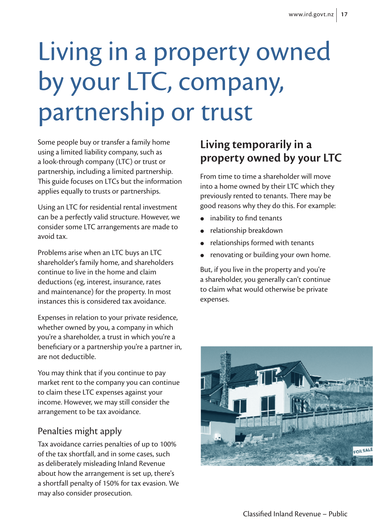# Living in a property owned by your LTC, company, partnership or trust

Some people buy or transfer a family home using a limited liability company, such as a look-through company (LTC) or trust or partnership, including a limited partnership. This guide focuses on LTCs but the information applies equally to trusts or partnerships.

Using an LTC for residential rental investment can be a perfectly valid structure. However, we consider some LTC arrangements are made to avoid tax.

Problems arise when an LTC buys an LTC shareholder's family home, and shareholders continue to live in the home and claim deductions (eg, interest, insurance, rates and maintenance) for the property. In most instances this is considered tax avoidance.

Expenses in relation to your private residence, whether owned by you, a company in which you're a shareholder, a trust in which you're a beneficiary or a partnership you're a partner in, are not deductible.

You may think that if you continue to pay market rent to the company you can continue to claim these LTC expenses against your income. However, we may still consider the arrangement to be tax avoidance.

### Penalties might apply

Tax avoidance carries penalties of up to 100% of the tax shortfall, and in some cases, such as deliberately misleading Inland Revenue about how the arrangement is set up, there's a shortfall penalty of 150% for tax evasion. We may also consider prosecution.

## **Living temporarily in a property owned by your LTC**

From time to time a shareholder will move into a home owned by their LTC which they previously rented to tenants. There may be good reasons why they do this. For example:

- inability to find tenants
- relationship breakdown
- relationships formed with tenants
- renovating or building your own home.

But, if you live in the property and you're a shareholder, you generally can't continue to claim what would otherwise be private expenses.

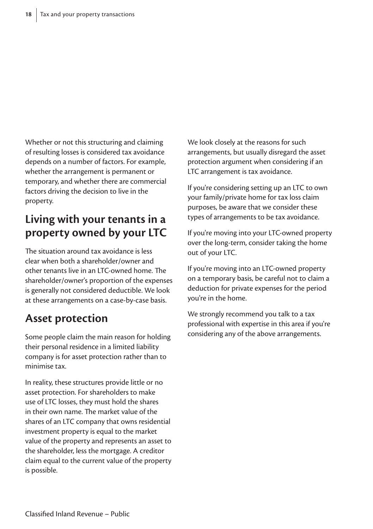Whether or not this structuring and claiming of resulting losses is considered tax avoidance depends on a number of factors. For example, whether the arrangement is permanent or temporary, and whether there are commercial factors driving the decision to live in the property.

## **Living with your tenants in a property owned by your LTC**

The situation around tax avoidance is less clear when both a shareholder/owner and other tenants live in an LTC-owned home. The shareholder/owner's proportion of the expenses is generally not considered deductible. We look at these arrangements on a case-by-case basis.

### **Asset protection**

Some people claim the main reason for holding their personal residence in a limited liability company is for asset protection rather than to minimise tax.

In reality, these structures provide little or no asset protection. For shareholders to make use of LTC losses, they must hold the shares in their own name. The market value of the shares of an LTC company that owns residential investment property is equal to the market value of the property and represents an asset to the shareholder, less the mortgage. A creditor claim equal to the current value of the property is possible.

We look closely at the reasons for such arrangements, but usually disregard the asset protection argument when considering if an LTC arrangement is tax avoidance.

If you're considering setting up an LTC to own your family/private home for tax loss claim purposes, be aware that we consider these types of arrangements to be tax avoidance.

If you're moving into your LTC-owned property over the long-term, consider taking the home out of your LTC.

If you're moving into an LTC-owned property on a temporary basis, be careful not to claim a deduction for private expenses for the period you're in the home.

We strongly recommend you talk to a tax professional with expertise in this area if you're considering any of the above arrangements.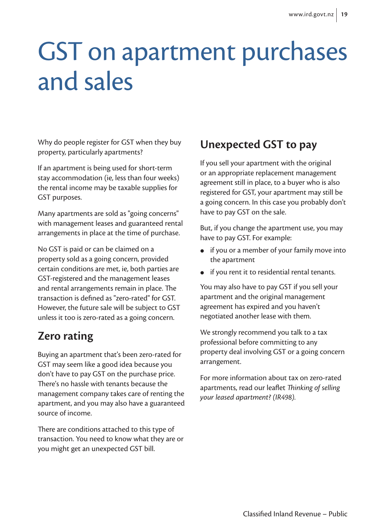## GST on apartment purchases and sales

Why do people register for GST when they buy property, particularly apartments?

If an apartment is being used for short-term stay accommodation (ie, less than four weeks) the rental income may be taxable supplies for GST purposes.

Many apartments are sold as "going concerns" with management leases and guaranteed rental arrangements in place at the time of purchase.

No GST is paid or can be claimed on a property sold as a going concern, provided certain conditions are met, ie, both parties are GST-registered and the management leases and rental arrangements remain in place. The transaction is defined as "zero-rated" for GST. However, the future sale will be subject to GST unless it too is zero-rated as a going concern.

## **Zero rating**

Buying an apartment that's been zero-rated for GST may seem like a good idea because you don't have to pay GST on the purchase price. There's no hassle with tenants because the management company takes care of renting the apartment, and you may also have a guaranteed source of income.

There are conditions attached to this type of transaction. You need to know what they are or you might get an unexpected GST bill.

## **Unexpected GST to pay**

If you sell your apartment with the original or an appropriate replacement management agreement still in place, to a buyer who is also registered for GST, your apartment may still be a going concern. In this case you probably don't have to pay GST on the sale.

But, if you change the apartment use, you may have to pay GST. For example:

- if you or a member of your family move into the apartment
- if you rent it to residential rental tenants.

You may also have to pay GST if you sell your apartment and the original management agreement has expired and you haven't negotiated another lease with them.

We strongly recommend you talk to a tax professional before committing to any property deal involving GST or a going concern arrangement.

For more information about tax on zero-rated apartments, read our leaflet *Thinking of selling your leased apartment? (IR498).*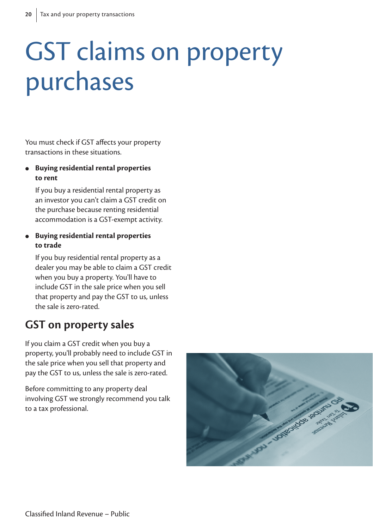## GST claims on property purchases

You must check if GST affects your property transactions in these situations.

 **Buying residential rental properties to rent**

 If you buy a residential rental property as an investor you can't claim a GST credit on the purchase because renting residential accommodation is a GST-exempt activity.

#### **Buying residential rental properties to trade**

 If you buy residential rental property as a dealer you may be able to claim a GST credit when you buy a property. You'll have to include GST in the sale price when you sell that property and pay the GST to us, unless the sale is zero-rated.

### **GST on property sales**

If you claim a GST credit when you buy a property, you'll probably need to include GST in the sale price when you sell that property and pay the GST to us, unless the sale is zero-rated.

Before committing to any property deal involving GST we strongly recommend you talk to a tax professional.

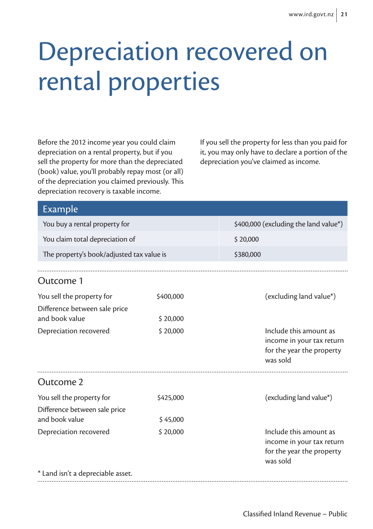## Depreciation recovered on rental properties

Before the 2012 income year you could claim depreciation on a rental property, but if you sell the property for more than the depreciated (book) value, you'll probably repay most (or all) of the depreciation you claimed previously. This depreciation recovery is taxable income.

If you sell the property for less than you paid for it, you may only have to declare a portion of the depreciation you've claimed as income.

| <b>Example</b>                                             |                                       |                                                                                              |  |  |  |  |
|------------------------------------------------------------|---------------------------------------|----------------------------------------------------------------------------------------------|--|--|--|--|
| You buy a rental property for                              | \$400,000 (excluding the land value*) |                                                                                              |  |  |  |  |
| You claim total depreciation of                            | \$20,000                              |                                                                                              |  |  |  |  |
| The property's book/adjusted tax value is                  | \$380,000                             |                                                                                              |  |  |  |  |
|                                                            |                                       |                                                                                              |  |  |  |  |
| Outcome 1                                                  |                                       |                                                                                              |  |  |  |  |
| You sell the property for                                  | \$400,000                             | (excluding land value*)                                                                      |  |  |  |  |
| Difference between sale price<br>and book value            | \$20,000                              |                                                                                              |  |  |  |  |
| Depreciation recovered                                     | \$20,000                              | Include this amount as<br>income in your tax return<br>for the year the property<br>was sold |  |  |  |  |
| Outcome 2                                                  |                                       |                                                                                              |  |  |  |  |
| You sell the property for<br>Difference between sale price | \$425,000                             | (excluding land value*)                                                                      |  |  |  |  |
| and book value                                             | \$45,000                              |                                                                                              |  |  |  |  |
| Depreciation recovered                                     | \$20,000                              | Include this amount as<br>income in your tax return<br>for the year the property<br>was sold |  |  |  |  |
| * Land isn't a depreciable asset.                          |                                       |                                                                                              |  |  |  |  |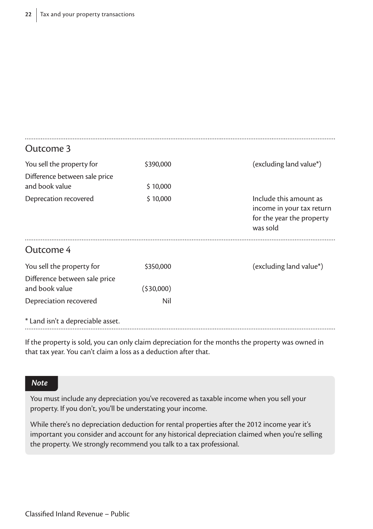| Outcome 3                         |           |                                                                                              |
|-----------------------------------|-----------|----------------------------------------------------------------------------------------------|
| You sell the property for         | \$390,000 | (excluding land value*)                                                                      |
| Difference between sale price     |           |                                                                                              |
| and book value                    | \$10,000  |                                                                                              |
| Deprecation recovered             | \$10,000  | Include this amount as<br>income in your tax return<br>for the year the property<br>was sold |
| Outcome 4                         |           |                                                                                              |
| You sell the property for         | \$350,000 | (excluding land value*)                                                                      |
| Difference between sale price     |           |                                                                                              |
| and book value                    | (530,000) |                                                                                              |
| Depreciation recovered            | Nil       |                                                                                              |
| * Land isn't a depreciable asset. |           |                                                                                              |

If the property is sold, you can only claim depreciation for the months the property was owned in that tax year. You can't claim a loss as a deduction after that.

#### *Note*

You must include any depreciation you've recovered as taxable income when you sell your property. If you don't, you'll be understating your income.

While there's no depreciation deduction for rental properties after the 2012 income year it's important you consider and account for any historical depreciation claimed when you're selling the property. We strongly recommend you talk to a tax professional.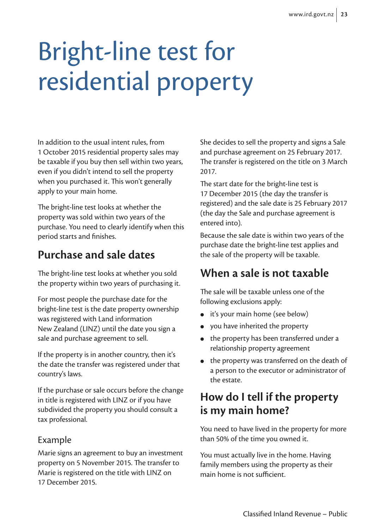# Bright-line test for residential property

In addition to the usual intent rules, from 1 October 2015 residential property sales may be taxable if you buy then sell within two years, even if you didn't intend to sell the property when you purchased it. This won't generally apply to your main home.

The bright-line test looks at whether the property was sold within two years of the purchase. You need to clearly identify when this period starts and finishes.

## **Purchase and sale dates**

The bright-line test looks at whether you sold the property within two years of purchasing it.

For most people the purchase date for the bright-line test is the date property ownership was registered with Land information New Zealand (LINZ) until the date you sign a sale and purchase agreement to sell.

If the property is in another country, then it's the date the transfer was registered under that country's laws.

If the purchase or sale occurs before the change in title is registered with LINZ or if you have subdivided the property you should consult a tax professional.

### Example

Marie signs an agreement to buy an investment property on 5 November 2015. The transfer to Marie is registered on the title with LINZ on 17 December 2015.

She decides to sell the property and signs a Sale and purchase agreement on 25 February 2017. The transfer is registered on the title on 3 March 2017.

The start date for the bright-line test is 17 December 2015 (the day the transfer is registered) and the sale date is 25 February 2017 (the day the Sale and purchase agreement is entered into).

Because the sale date is within two years of the purchase date the bright-line test applies and the sale of the property will be taxable.

### **When a sale is not taxable**

The sale will be taxable unless one of the following exclusions apply:

- it's your main home (see below)
- vou have inherited the property
- the property has been transferred under a relationship property agreement
- the property was transferred on the death of a person to the executor or administrator of the estate.

## **How do I tell if the property is my main home?**

You need to have lived in the property for more than 50% of the time you owned it.

You must actually live in the home. Having family members using the property as their main home is not sufficient.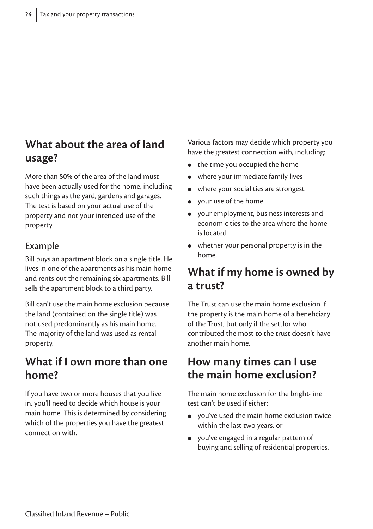### **What about the area of land usage?**

More than 50% of the area of the land must have been actually used for the home, including such things as the yard, gardens and garages. The test is based on your actual use of the property and not your intended use of the property.

### Example

Bill buys an apartment block on a single title. He lives in one of the apartments as his main home and rents out the remaining six apartments. Bill sells the apartment block to a third party.

Bill can't use the main home exclusion because the land (contained on the single title) was not used predominantly as his main home. The majority of the land was used as rental property.

### **What if I own more than one home?**

If you have two or more houses that you live in, you'll need to decide which house is your main home. This is determined by considering which of the properties you have the greatest connection with.

Various factors may decide which property you have the greatest connection with, including:

- the time you occupied the home
- where your immediate family lives
- where your social ties are strongest
- your use of the home
- your employment, business interests and economic ties to the area where the home is located
- whether your personal property is in the home.

### **What if my home is owned by a trust?**

The Trust can use the main home exclusion if the property is the main home of a beneficiary of the Trust, but only if the settlor who contributed the most to the trust doesn't have another main home.

### **How many times can I use the main home exclusion?**

The main home exclusion for the bright-line test can't be used if either:

- you've used the main home exclusion twice within the last two years, or
- you've engaged in a regular pattern of buying and selling of residential properties.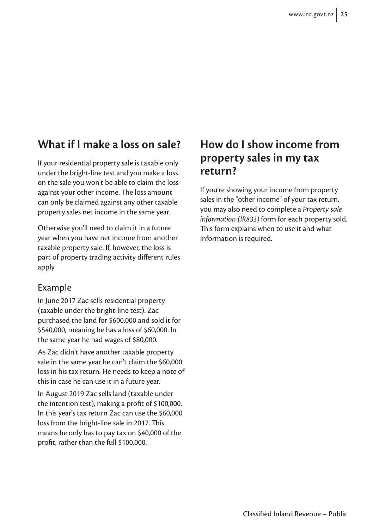### **What if I make a loss on sale?**

If your residential property sale is taxable only under the bright-line test and you make a loss on the sale you won't be able to claim the loss against your other income. The loss amount can only be claimed against any other taxable property sales net income in the same year.

Otherwise you'll need to claim it in a future year when you have net income from another taxable property sale. If, however, the loss is part of property trading activity different rules apply.

#### Example

In June 2017 Zac sells residential property (taxable under the bright-line test). Zac purchased the land for \$600,000 and sold it for \$540,000, meaning he has a loss of \$60,000. In the same year he had wages of \$80,000.

As Zac didn't have another taxable property sale in the same year he can't claim the \$60,000 loss in his tax return. He needs to keep a note of this in case he can use it in a future year.

In August 2019 Zac sells land (taxable under the intention test), making a profit of \$100,000. In this year's tax return Zac can use the \$60,000 loss from the bright-line sale in 2017. This means he only has to pay tax on \$40,000 of the profit, rather than the full \$100,000.

### **How do I show income from property sales in my tax return?**

If you're showing your income from property sales in the "other income" of your tax return, you may also need to complete a *Property sale information (IR833)* form for each property sold. This form explains when to use it and what information is required.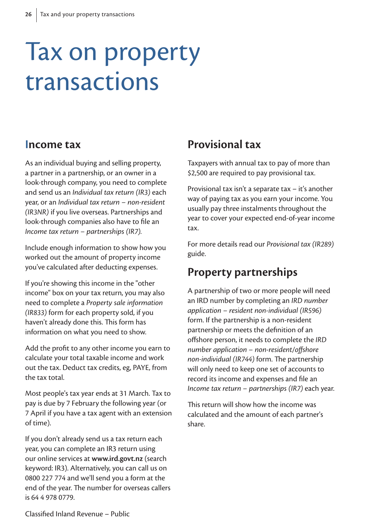## Tax on property transactions

### **Income tax**

As an individual buying and selling property, a partner in a partnership, or an owner in a look-through company, you need to complete and send us an *Individual tax return (IR3)* each year, or an *Individual tax return – non-resident (IR3NR)* if you live overseas. Partnerships and look-through companies also have to file an *Income tax return – partnerships (IR7).*

Include enough information to show how you worked out the amount of property income you've calculated after deducting expenses.

If you're showing this income in the "other income" box on your tax return, you may also need to complete a *Property sale information (IR833)* form for each property sold, if you haven't already done this. This form has information on what you need to show.

Add the profit to any other income you earn to calculate your total taxable income and work out the tax. Deduct tax credits, eg, PAYE, from the tax total.

Most people's tax year ends at 31 March. Tax to pay is due by 7 February the following year (or 7 April if you have a tax agent with an extension of time).

If you don't already send us a tax return each year, you can complete an IR3 return using our online services at **www.ird.govt.nz** (search keyword: IR3). Alternatively, you can call us on 0800 227 774 and we'll send you a form at the end of the year. The number for overseas callers is 64 4 978 0779.

### **Provisional tax**

Taxpayers with annual tax to pay of more than \$2,500 are required to pay provisional tax.

Provisional tax isn't a separate tax – it's another way of paying tax as you earn your income. You usually pay three instalments throughout the year to cover your expected end-of-year income tax.

For more details read our *Provisional tax (IR289)*  guide.

### **Property partnerships**

A partnership of two or more people will need an IRD number by completing an *IRD number application – resident non-individual (IR596)* form. If the partnership is a non-resident partnership or meets the definition of an offshore person, it needs to complete the *IRD number application – non-resident/offshore non-individual (IR744)* form. The partnership will only need to keep one set of accounts to record its income and expenses and file an *Income tax return – partnerships (IR7)* each year.

This return will show how the income was calculated and the amount of each partner's share.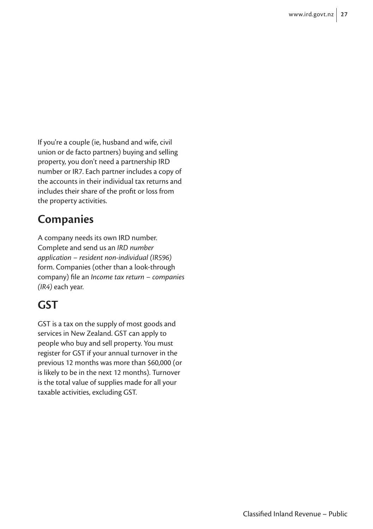If you're a couple (ie, husband and wife, civil union or de facto partners) buying and selling property, you don't need a partnership IRD number or IR7. Each partner includes a copy of the accounts in their individual tax returns and includes their share of the profit or loss from the property activities.

### **Companies**

A company needs its own IRD number. Complete and send us an *IRD number application – resident non-individual (IR596)* form. Companies (other than a look-through company) file an *Income tax return – companies (IR4)* each year.

## **GST**

GST is a tax on the supply of most goods and services in New Zealand. GST can apply to people who buy and sell property. You must register for GST if your annual turnover in the previous 12 months was more than \$60,000 (or is likely to be in the next 12 months). Turnover is the total value of supplies made for all your taxable activities, excluding GST.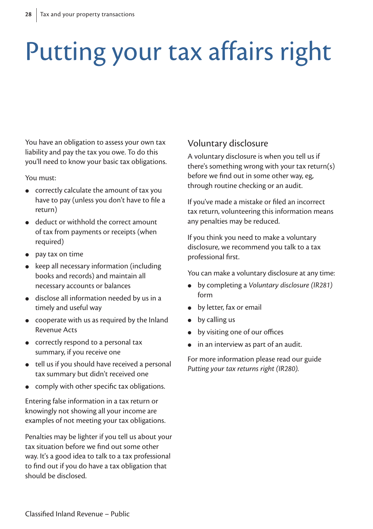# Putting your tax affairs right

You have an obligation to assess your own tax liability and pay the tax you owe. To do this you'll need to know your basic tax obligations.

You must:

- correctly calculate the amount of tax you have to pay (unless you don't have to file a return)
- deduct or withhold the correct amount of tax from payments or receipts (when required)
- pay tax on time
- $\bullet$  keep all necessary information (including books and records) and maintain all necessary accounts or balances
- disclose all information needed by us in a timely and useful way
- cooperate with us as required by the Inland Revenue Acts
- correctly respond to a personal tax summary, if you receive one
- tell us if you should have received a personal tax summary but didn't received one
- comply with other specific tax obligations.

Entering false information in a tax return or knowingly not showing all your income are examples of not meeting your tax obligations.

Penalties may be lighter if you tell us about your tax situation before we find out some other way. It's a good idea to talk to a tax professional to find out if you do have a tax obligation that should be disclosed.

### Voluntary disclosure

A voluntary disclosure is when you tell us if there's something wrong with your tax return(s) before we find out in some other way, eg, through routine checking or an audit.

If you've made a mistake or filed an incorrect tax return, volunteering this information means any penalties may be reduced.

If you think you need to make a voluntary disclosure, we recommend you talk to a tax professional first.

You can make a voluntary disclosure at any time:

- by completing a *Voluntary disclosure (IR281)* form
- **•** by letter, fax or email
- by calling us
- by visiting one of our offices
- in an interview as part of an audit.

For more information please read our guide *Putting your tax returns right (IR280).*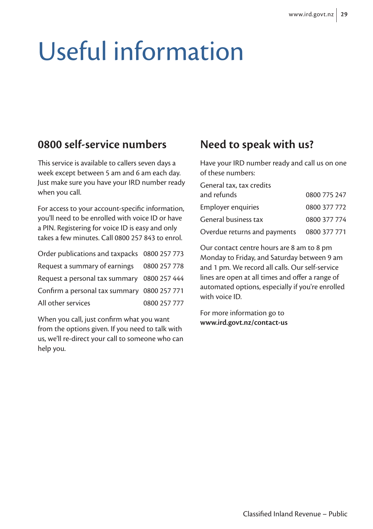# Useful information

### **0800 self-service numbers**

This service is available to callers seven days a week except between 5 am and 6 am each day. Just make sure you have your IRD number ready when you call.

For access to your account-specific information, you'll need to be enrolled with voice ID or have a PIN. Registering for voice ID is easy and only takes a few minutes. Call 0800 257 843 to enrol.

| Order publications and taxpacks 0800 257 773 |              |
|----------------------------------------------|--------------|
| Request a summary of earnings 0800 257 778   |              |
| Request a personal tax summary 0800 257 444  |              |
| Confirm a personal tax summary 0800 257 771  |              |
| All other services                           | 0800 257 777 |

When you call, just confirm what you want from the options given. If you need to talk with us, we'll re-direct your call to someone who can help you.

### **Need to speak with us?**

Have your IRD number ready and call us on one of these numbers:

| General tax, tax credits     |              |
|------------------------------|--------------|
| and refunds                  | 0800 775 247 |
| Employer enquiries           | 0800 377 772 |
| General business tax         | 0800 377 774 |
| Overdue returns and payments | 0800 377 771 |

Our contact centre hours are 8 am to 8 pm Monday to Friday, and Saturday between 9 am and 1 pm. We record all calls. Our self-service lines are open at all times and offer a range of automated options, especially if you're enrolled with voice ID.

For more information go to **www.ird.govt.nz/contact-us**